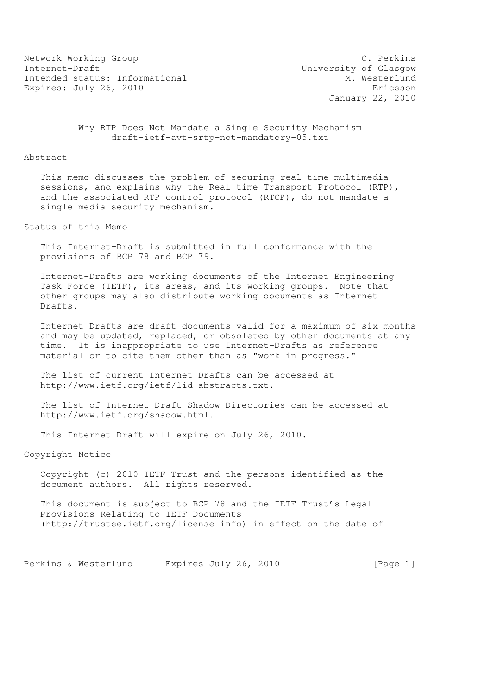Network Working Group C. Perkins<br>
Internet-Draft C. Compared University of Glasgow Intended status: Informational Expires: July 26, 2010 **Expires:** July 26, 2010

University of Glasgow<br>M. Westerlund January 22, 2010

 Why RTP Does Not Mandate a Single Security Mechanism draft-ietf-avt-srtp-not-mandatory-05.txt

## Abstract

 This memo discusses the problem of securing real-time multimedia sessions, and explains why the Real-time Transport Protocol (RTP), and the associated RTP control protocol (RTCP), do not mandate a single media security mechanism.

Status of this Memo

 This Internet-Draft is submitted in full conformance with the provisions of BCP 78 and BCP 79.

 Internet-Drafts are working documents of the Internet Engineering Task Force (IETF), its areas, and its working groups. Note that other groups may also distribute working documents as Internet- Drafts.

 Internet-Drafts are draft documents valid for a maximum of six months and may be updated, replaced, or obsoleted by other documents at any time. It is inappropriate to use Internet-Drafts as reference material or to cite them other than as "work in progress."

 The list of current Internet-Drafts can be accessed at http://www.ietf.org/ietf/1id-abstracts.txt.

 The list of Internet-Draft Shadow Directories can be accessed at http://www.ietf.org/shadow.html.

This Internet-Draft will expire on July 26, 2010.

Copyright Notice

 Copyright (c) 2010 IETF Trust and the persons identified as the document authors. All rights reserved.

 This document is subject to BCP 78 and the IETF Trust's Legal Provisions Relating to IETF Documents (http://trustee.ietf.org/license-info) in effect on the date of

Perkins & Westerlund Expires July 26, 2010 [Page 1]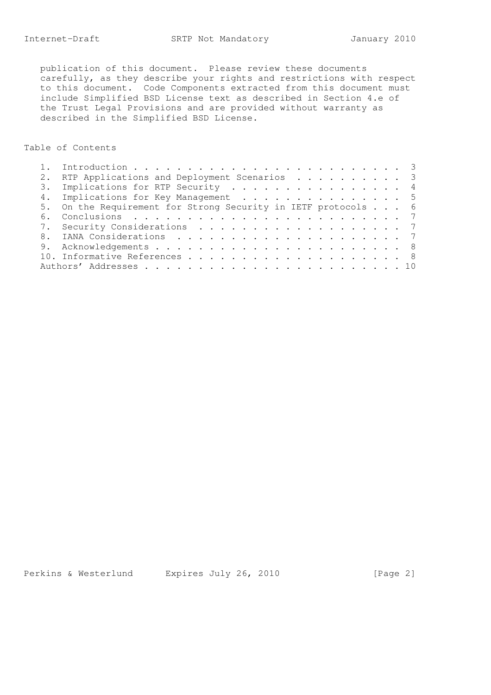publication of this document. Please review these documents carefully, as they describe your rights and restrictions with respect to this document. Code Components extracted from this document must include Simplified BSD License text as described in Section 4.e of the Trust Legal Provisions and are provided without warranty as described in the Simplified BSD License.

Table of Contents

|  | RTP Applications and Deployment Scenarios 3                   |  |
|--|---------------------------------------------------------------|--|
|  | 3. Implications for RTP Security 4                            |  |
|  | 4. Implications for Key Management 5                          |  |
|  | 5. On the Requirement for Strong Security in IETF protocols 6 |  |
|  |                                                               |  |
|  | 7. Security Considerations 7                                  |  |
|  |                                                               |  |
|  |                                                               |  |
|  |                                                               |  |
|  |                                                               |  |

Perkins & Westerlund Expires July 26, 2010 [Page 2]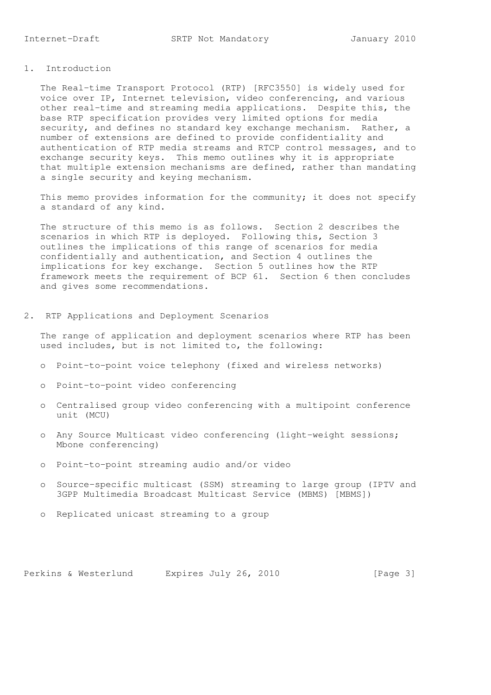The Real-time Transport Protocol (RTP) [RFC3550] is widely used for voice over IP, Internet television, video conferencing, and various other real-time and streaming media applications. Despite this, the base RTP specification provides very limited options for media security, and defines no standard key exchange mechanism. Rather, a number of extensions are defined to provide confidentiality and authentication of RTP media streams and RTCP control messages, and to exchange security keys. This memo outlines why it is appropriate that multiple extension mechanisms are defined, rather than mandating a single security and keying mechanism.

 This memo provides information for the community; it does not specify a standard of any kind.

 The structure of this memo is as follows. Section 2 describes the scenarios in which RTP is deployed. Following this, Section 3 outlines the implications of this range of scenarios for media confidentially and authentication, and Section 4 outlines the implications for key exchange. Section 5 outlines how the RTP framework meets the requirement of BCP 61. Section 6 then concludes and gives some recommendations.

2. RTP Applications and Deployment Scenarios

 The range of application and deployment scenarios where RTP has been used includes, but is not limited to, the following:

- o Point-to-point voice telephony (fixed and wireless networks)
- o Point-to-point video conferencing
- o Centralised group video conferencing with a multipoint conference unit (MCU)
- o Any Source Multicast video conferencing (light-weight sessions; Mbone conferencing)
- o Point-to-point streaming audio and/or video
- o Source-specific multicast (SSM) streaming to large group (IPTV and 3GPP Multimedia Broadcast Multicast Service (MBMS) [MBMS])
- o Replicated unicast streaming to a group

Perkins & Westerlund Expires July 26, 2010 [Page 3]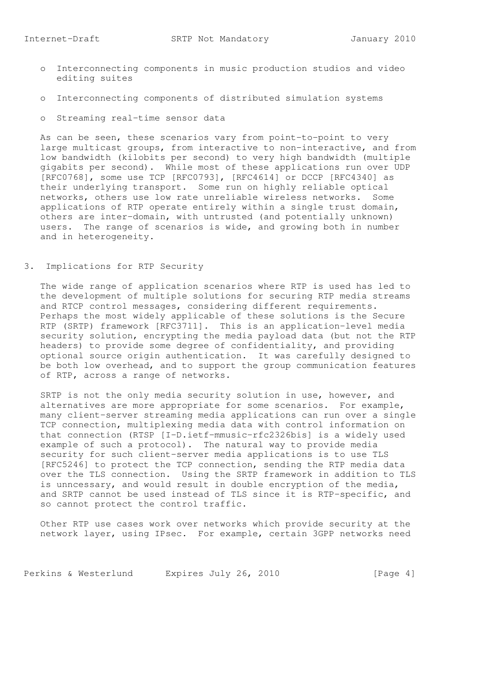- o Interconnecting components in music production studios and video editing suites
- o Interconnecting components of distributed simulation systems
- o Streaming real-time sensor data

 As can be seen, these scenarios vary from point-to-point to very large multicast groups, from interactive to non-interactive, and from low bandwidth (kilobits per second) to very high bandwidth (multiple gigabits per second). While most of these applications run over UDP [RFC0768], some use TCP [RFC0793], [RFC4614] or DCCP [RFC4340] as their underlying transport. Some run on highly reliable optical networks, others use low rate unreliable wireless networks. Some applications of RTP operate entirely within a single trust domain, others are inter-domain, with untrusted (and potentially unknown) users. The range of scenarios is wide, and growing both in number and in heterogeneity.

3. Implications for RTP Security

 The wide range of application scenarios where RTP is used has led to the development of multiple solutions for securing RTP media streams and RTCP control messages, considering different requirements. Perhaps the most widely applicable of these solutions is the Secure RTP (SRTP) framework [RFC3711]. This is an application-level media security solution, encrypting the media payload data (but not the RTP headers) to provide some degree of confidentiality, and providing optional source origin authentication. It was carefully designed to be both low overhead, and to support the group communication features of RTP, across a range of networks.

 SRTP is not the only media security solution in use, however, and alternatives are more appropriate for some scenarios. For example, many client-server streaming media applications can run over a single TCP connection, multiplexing media data with control information on that connection (RTSP [I-D.ietf-mmusic-rfc2326bis] is a widely used example of such a protocol). The natural way to provide media security for such client-server media applications is to use TLS [RFC5246] to protect the TCP connection, sending the RTP media data over the TLS connection. Using the SRTP framework in addition to TLS is unncessary, and would result in double encryption of the media, and SRTP cannot be used instead of TLS since it is RTP-specific, and so cannot protect the control traffic.

 Other RTP use cases work over networks which provide security at the network layer, using IPsec. For example, certain 3GPP networks need

Perkins & Westerlund Expires July 26, 2010 [Page 4]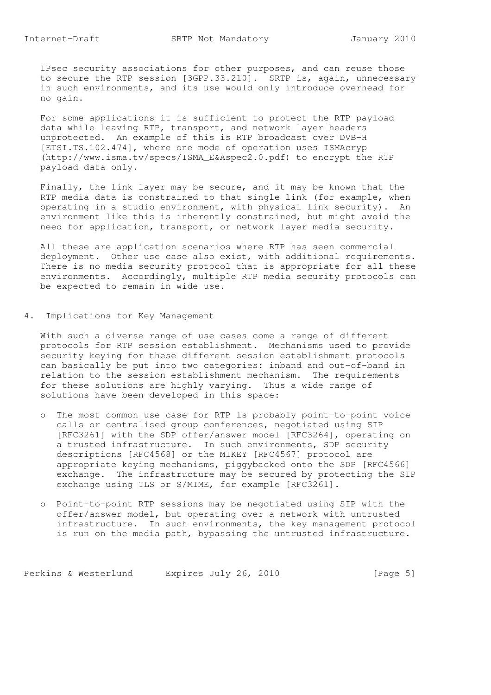IPsec security associations for other purposes, and can reuse those to secure the RTP session [3GPP.33.210]. SRTP is, again, unnecessary in such environments, and its use would only introduce overhead for no gain.

 For some applications it is sufficient to protect the RTP payload data while leaving RTP, transport, and network layer headers unprotected. An example of this is RTP broadcast over DVB-H [ETSI.TS.102.474], where one mode of operation uses ISMAcryp (http://www.isma.tv/specs/ISMA\_E&Aspec2.0.pdf) to encrypt the RTP payload data only.

 Finally, the link layer may be secure, and it may be known that the RTP media data is constrained to that single link (for example, when operating in a studio environment, with physical link security). An environment like this is inherently constrained, but might avoid the need for application, transport, or network layer media security.

 All these are application scenarios where RTP has seen commercial deployment. Other use case also exist, with additional requirements. There is no media security protocol that is appropriate for all these environments. Accordingly, multiple RTP media security protocols can be expected to remain in wide use.

4. Implications for Key Management

 With such a diverse range of use cases come a range of different protocols for RTP session establishment. Mechanisms used to provide security keying for these different session establishment protocols can basically be put into two categories: inband and out-of-band in relation to the session establishment mechanism. The requirements for these solutions are highly varying. Thus a wide range of solutions have been developed in this space:

- o The most common use case for RTP is probably point-to-point voice calls or centralised group conferences, negotiated using SIP [RFC3261] with the SDP offer/answer model [RFC3264], operating on a trusted infrastructure. In such environments, SDP security descriptions [RFC4568] or the MIKEY [RFC4567] protocol are appropriate keying mechanisms, piggybacked onto the SDP [RFC4566] exchange. The infrastructure may be secured by protecting the SIP exchange using TLS or S/MIME, for example [RFC3261].
- o Point-to-point RTP sessions may be negotiated using SIP with the offer/answer model, but operating over a network with untrusted infrastructure. In such environments, the key management protocol is run on the media path, bypassing the untrusted infrastructure.

Perkins & Westerlund Expires July 26, 2010 [Page 5]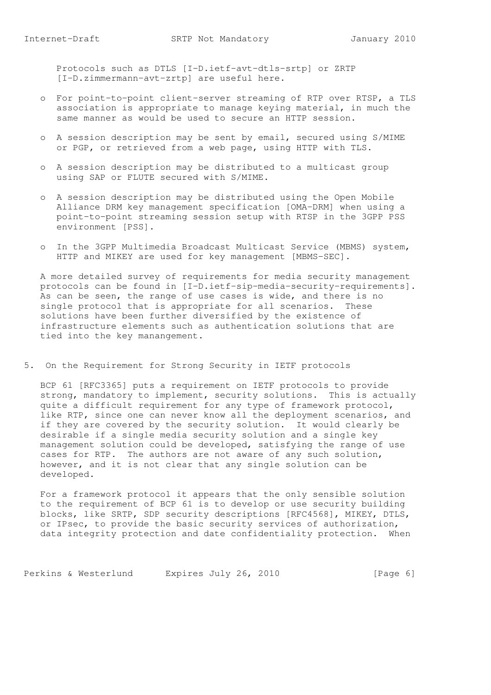Protocols such as DTLS [I-D.ietf-avt-dtls-srtp] or ZRTP [I-D.zimmermann-avt-zrtp] are useful here.

- o For point-to-point client-server streaming of RTP over RTSP, a TLS association is appropriate to manage keying material, in much the same manner as would be used to secure an HTTP session.
- o A session description may be sent by email, secured using S/MIME or PGP, or retrieved from a web page, using HTTP with TLS.
- o A session description may be distributed to a multicast group using SAP or FLUTE secured with S/MIME.
- o A session description may be distributed using the Open Mobile Alliance DRM key management specification [OMA-DRM] when using a point-to-point streaming session setup with RTSP in the 3GPP PSS environment [PSS].
- o In the 3GPP Multimedia Broadcast Multicast Service (MBMS) system, HTTP and MIKEY are used for key management [MBMS-SEC].

 A more detailed survey of requirements for media security management protocols can be found in [I-D.ietf-sip-media-security-requirements]. As can be seen, the range of use cases is wide, and there is no single protocol that is appropriate for all scenarios. These solutions have been further diversified by the existence of infrastructure elements such as authentication solutions that are tied into the key manangement.

5. On the Requirement for Strong Security in IETF protocols

 BCP 61 [RFC3365] puts a requirement on IETF protocols to provide strong, mandatory to implement, security solutions. This is actually quite a difficult requirement for any type of framework protocol, like RTP, since one can never know all the deployment scenarios, and if they are covered by the security solution. It would clearly be desirable if a single media security solution and a single key management solution could be developed, satisfying the range of use cases for RTP. The authors are not aware of any such solution, however, and it is not clear that any single solution can be developed.

 For a framework protocol it appears that the only sensible solution to the requirement of BCP 61 is to develop or use security building blocks, like SRTP, SDP security descriptions [RFC4568], MIKEY, DTLS, or IPsec, to provide the basic security services of authorization, data integrity protection and date confidentiality protection. When

Perkins & Westerlund Expires July 26, 2010 [Page 6]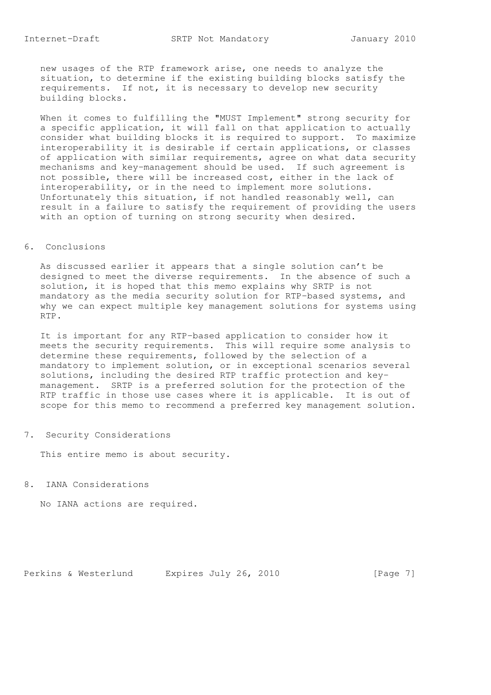new usages of the RTP framework arise, one needs to analyze the situation, to determine if the existing building blocks satisfy the requirements. If not, it is necessary to develop new security building blocks.

 When it comes to fulfilling the "MUST Implement" strong security for a specific application, it will fall on that application to actually consider what building blocks it is required to support. To maximize interoperability it is desirable if certain applications, or classes of application with similar requirements, agree on what data security mechanisms and key-management should be used. If such agreement is not possible, there will be increased cost, either in the lack of interoperability, or in the need to implement more solutions. Unfortunately this situation, if not handled reasonably well, can result in a failure to satisfy the requirement of providing the users with an option of turning on strong security when desired.

## 6. Conclusions

 As discussed earlier it appears that a single solution can't be designed to meet the diverse requirements. In the absence of such a solution, it is hoped that this memo explains why SRTP is not mandatory as the media security solution for RTP-based systems, and why we can expect multiple key management solutions for systems using RTP.

 It is important for any RTP-based application to consider how it meets the security requirements. This will require some analysis to determine these requirements, followed by the selection of a mandatory to implement solution, or in exceptional scenarios several solutions, including the desired RTP traffic protection and key management. SRTP is a preferred solution for the protection of the RTP traffic in those use cases where it is applicable. It is out of scope for this memo to recommend a preferred key management solution.

7. Security Considerations

This entire memo is about security.

8. IANA Considerations

No IANA actions are required.

Perkins & Westerlund Expires July 26, 2010 [Page 7]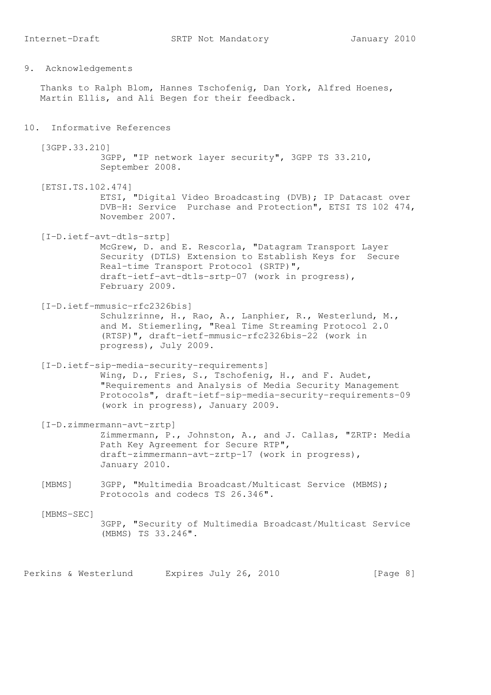9. Acknowledgements

 Thanks to Ralph Blom, Hannes Tschofenig, Dan York, Alfred Hoenes, Martin Ellis, and Ali Begen for their feedback.

## 10. Informative References

 [3GPP.33.210] 3GPP, "IP network layer security", 3GPP TS 33.210, September 2008.

 [ETSI.TS.102.474] ETSI, "Digital Video Broadcasting (DVB); IP Datacast over DVB-H: Service Purchase and Protection", ETSI TS 102 474, November 2007.

 [I-D.ietf-avt-dtls-srtp] McGrew, D. and E. Rescorla, "Datagram Transport Layer Security (DTLS) Extension to Establish Keys for Secure Real-time Transport Protocol (SRTP)", draft-ietf-avt-dtls-srtp-07 (work in progress), February 2009.

 [I-D.ietf-mmusic-rfc2326bis] Schulzrinne, H., Rao, A., Lanphier, R., Westerlund, M., and M. Stiemerling, "Real Time Streaming Protocol 2.0 (RTSP)", draft-ietf-mmusic-rfc2326bis-22 (work in progress), July 2009.

 [I-D.ietf-sip-media-security-requirements] Wing, D., Fries, S., Tschofenig, H., and F. Audet, "Requirements and Analysis of Media Security Management Protocols", draft-ietf-sip-media-security-requirements-09 (work in progress), January 2009.

- [I-D.zimmermann-avt-zrtp] Zimmermann, P., Johnston, A., and J. Callas, "ZRTP: Media Path Key Agreement for Secure RTP", draft-zimmermann-avt-zrtp-17 (work in progress), January 2010.
- [MBMS] 3GPP, "Multimedia Broadcast/Multicast Service (MBMS); Protocols and codecs TS 26.346".

[MBMS-SEC]

 3GPP, "Security of Multimedia Broadcast/Multicast Service (MBMS) TS 33.246".

Perkins & Westerlund Expires July 26, 2010 [Page 8]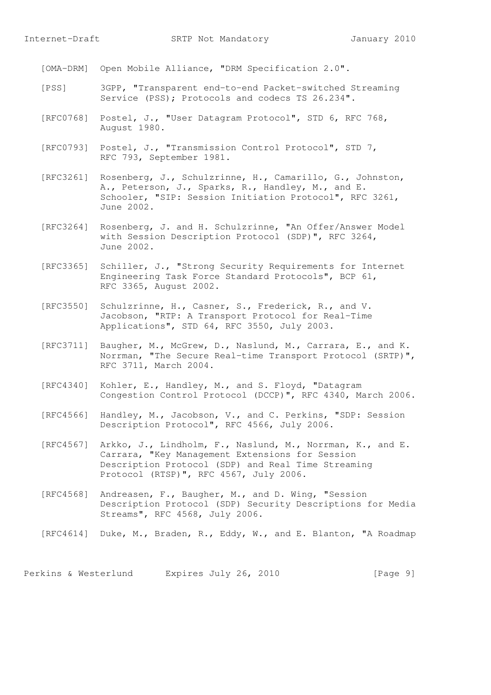[OMA-DRM] Open Mobile Alliance, "DRM Specification 2.0".

- [PSS] 3GPP, "Transparent end-to-end Packet-switched Streaming Service (PSS); Protocols and codecs TS 26.234".
- [RFC0768] Postel, J., "User Datagram Protocol", STD 6, RFC 768, August 1980.
- [RFC0793] Postel, J., "Transmission Control Protocol", STD 7, RFC 793, September 1981.
- [RFC3261] Rosenberg, J., Schulzrinne, H., Camarillo, G., Johnston, A., Peterson, J., Sparks, R., Handley, M., and E. Schooler, "SIP: Session Initiation Protocol", RFC 3261, June 2002.
- [RFC3264] Rosenberg, J. and H. Schulzrinne, "An Offer/Answer Model with Session Description Protocol (SDP)", RFC 3264, June 2002.
- [RFC3365] Schiller, J., "Strong Security Requirements for Internet Engineering Task Force Standard Protocols", BCP 61, RFC 3365, August 2002.
- [RFC3550] Schulzrinne, H., Casner, S., Frederick, R., and V. Jacobson, "RTP: A Transport Protocol for Real-Time Applications", STD 64, RFC 3550, July 2003.
- [RFC3711] Baugher, M., McGrew, D., Naslund, M., Carrara, E., and K. Norrman, "The Secure Real-time Transport Protocol (SRTP)", RFC 3711, March 2004.
- [RFC4340] Kohler, E., Handley, M., and S. Floyd, "Datagram Congestion Control Protocol (DCCP)", RFC 4340, March 2006.
- [RFC4566] Handley, M., Jacobson, V., and C. Perkins, "SDP: Session Description Protocol", RFC 4566, July 2006.
- [RFC4567] Arkko, J., Lindholm, F., Naslund, M., Norrman, K., and E. Carrara, "Key Management Extensions for Session Description Protocol (SDP) and Real Time Streaming Protocol (RTSP)", RFC 4567, July 2006.
- [RFC4568] Andreasen, F., Baugher, M., and D. Wing, "Session Description Protocol (SDP) Security Descriptions for Media Streams", RFC 4568, July 2006.
- [RFC4614] Duke, M., Braden, R., Eddy, W., and E. Blanton, "A Roadmap

Perkins & Westerlund Expires July 26, 2010 [Page 9]